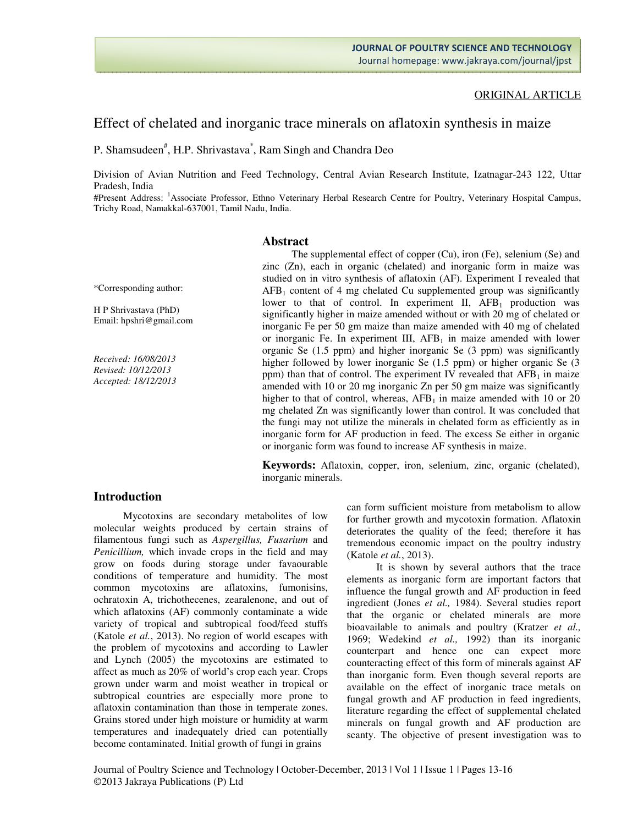### ORIGINAL ARTICLE

# Effect of chelated and inorganic trace minerals on aflatoxin synthesis in maize

P. Shamsudeen<sup>#</sup>, H.P. Shrivastava<sup>\*</sup>, Ram Singh and Chandra Deo

Division of Avian Nutrition and Feed Technology, Central Avian Research Institute, Izatnagar-243 122, Uttar Pradesh, India

#Present Address: <sup>1</sup>Associate Professor, Ethno Veterinary Herbal Research Centre for Poultry, Veterinary Hospital Campus, Trichy Road, Namakkal-637001, Tamil Nadu, India.

#### **Abstract**

\*Corresponding author:

H P Shrivastava (PhD) Email: hpshri@gmail.com

*Received: 16/08/2013 Revised: 10/12/2013 Accepted: 18/12/2013* 

The supplemental effect of copper (Cu), iron (Fe), selenium (Se) and zinc (Zn), each in organic (chelated) and inorganic form in maize was studied on in vitro synthesis of aflatoxin (AF). Experiment I revealed that  $AFB<sub>1</sub>$  content of 4 mg chelated Cu supplemented group was significantly lower to that of control. In experiment II,  $AFB<sub>1</sub>$  production was significantly higher in maize amended without or with 20 mg of chelated or inorganic Fe per 50 gm maize than maize amended with 40 mg of chelated or inorganic Fe. In experiment III,  $AFB<sub>1</sub>$  in maize amended with lower organic Se (1.5 ppm) and higher inorganic Se (3 ppm) was significantly higher followed by lower inorganic Se  $(1.5 \text{ ppm})$  or higher organic Se  $(3.5 \text{ ppm})$ ppm) than that of control. The experiment IV revealed that  $AFB<sub>1</sub>$  in maize amended with 10 or 20 mg inorganic Zn per 50 gm maize was significantly higher to that of control, whereas,  $AFB<sub>1</sub>$  in maize amended with 10 or 20 mg chelated Zn was significantly lower than control. It was concluded that the fungi may not utilize the minerals in chelated form as efficiently as in inorganic form for AF production in feed. The excess Se either in organic or inorganic form was found to increase AF synthesis in maize.

**Keywords:** Aflatoxin, copper, iron, selenium, zinc, organic (chelated), inorganic minerals.

#### **Introduction**

Mycotoxins are secondary metabolites of low molecular weights produced by certain strains of filamentous fungi such as *Aspergillus, Fusarium* and *Penicillium,* which invade crops in the field and may grow on foods during storage under favaourable conditions of temperature and humidity. The most common mycotoxins are aflatoxins, fumonisins, ochratoxin A, trichothecenes, zearalenone, and out of which aflatoxins (AF) commonly contaminate a wide variety of tropical and subtropical food/feed stuffs (Katole *et al.*, 2013). No region of world escapes with the problem of mycotoxins and according to Lawler and Lynch (2005) the mycotoxins are estimated to affect as much as 20% of world's crop each year. Crops grown under warm and moist weather in tropical or subtropical countries are especially more prone to aflatoxin contamination than those in temperate zones. Grains stored under high moisture or humidity at warm temperatures and inadequately dried can potentially become contaminated. Initial growth of fungi in grains

can form sufficient moisture from metabolism to allow for further growth and mycotoxin formation. Aflatoxin deteriorates the quality of the feed; therefore it has tremendous economic impact on the poultry industry (Katole *et al.*, 2013).

It is shown by several authors that the trace elements as inorganic form are important factors that influence the fungal growth and AF production in feed ingredient (Jones *et al.,* 1984). Several studies report that the organic or chelated minerals are more bioavailable to animals and poultry (Kratzer *et al.,* 1969; Wedekind *et al.,* 1992) than its inorganic counterpart and hence one can expect more counteracting effect of this form of minerals against AF than inorganic form. Even though several reports are available on the effect of inorganic trace metals on fungal growth and AF production in feed ingredients, literature regarding the effect of supplemental chelated minerals on fungal growth and AF production are scanty. The objective of present investigation was to

Journal of Poultry Science and Technology | October-December, 2013 | Vol 1 | Issue 1 | Pages 13-16 ©2013 Jakraya Publications (P) Ltd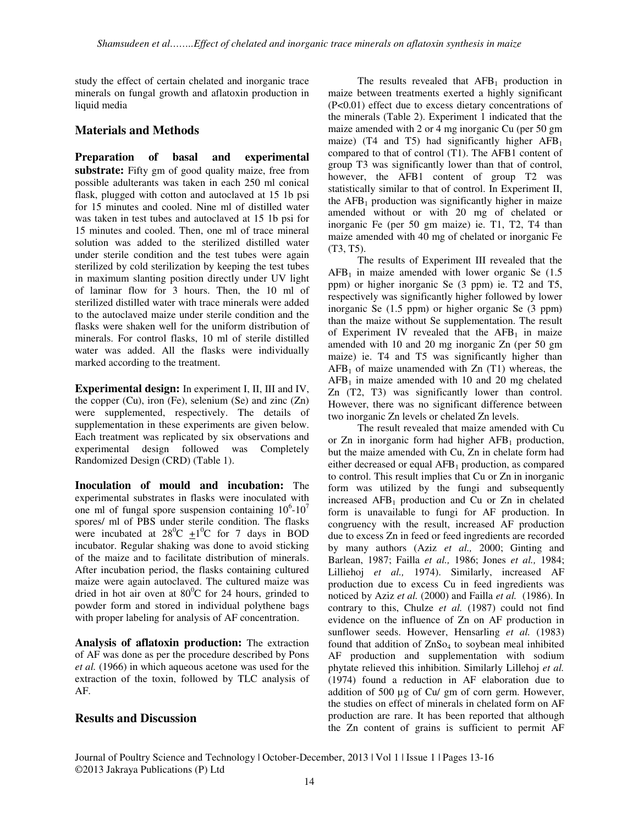study the effect of certain chelated and inorganic trace minerals on fungal growth and aflatoxin production in liquid media

# **Materials and Methods**

**Preparation of basal and experimental substrate:** Fifty gm of good quality maize, free from possible adulterants was taken in each 250 ml conical flask, plugged with cotton and autoclaved at 15 1b psi for 15 minutes and cooled. Nine ml of distilled water was taken in test tubes and autoclaved at 15 1b psi for 15 minutes and cooled. Then, one ml of trace mineral solution was added to the sterilized distilled water under sterile condition and the test tubes were again sterilized by cold sterilization by keeping the test tubes in maximum slanting position directly under UV light of laminar flow for 3 hours. Then, the 10 ml of sterilized distilled water with trace minerals were added to the autoclaved maize under sterile condition and the flasks were shaken well for the uniform distribution of minerals. For control flasks, 10 ml of sterile distilled water was added. All the flasks were individually marked according to the treatment.

**Experimental design:** In experiment I, II, III and IV, the copper  $(Cu)$ , iron  $(Fe)$ , selenium  $(Se)$  and zinc  $(Zn)$ were supplemented, respectively. The details of supplementation in these experiments are given below. Each treatment was replicated by six observations and experimental design followed was Completely Randomized Design (CRD) (Table 1).

**Inoculation of mould and incubation:** The experimental substrates in flasks were inoculated with one ml of fungal spore suspension containing  $10^6$ - $10^7$ spores/ ml of PBS under sterile condition. The flasks were incubated at  $28^0C + 1^0C$  for 7 days in BOD incubator. Regular shaking was done to avoid sticking of the maize and to facilitate distribution of minerals. After incubation period, the flasks containing cultured maize were again autoclaved. The cultured maize was dried in hot air oven at  $80^{\circ}$ C for 24 hours, grinded to powder form and stored in individual polythene bags with proper labeling for analysis of AF concentration.

**Analysis of aflatoxin production:** The extraction of AF was done as per the procedure described by Pons *et al.* (1966) in which aqueous acetone was used for the extraction of the toxin, followed by TLC analysis of  $AF$ 

## **Results and Discussion**

The results revealed that  $AFB<sub>1</sub>$  production in maize between treatments exerted a highly significant (P<0.01) effect due to excess dietary concentrations of the minerals (Table 2). Experiment 1 indicated that the maize amended with 2 or 4 mg inorganic Cu (per 50 gm maize) (T4 and T5) had significantly higher  $AFB<sub>1</sub>$ compared to that of control (T1). The AFB1 content of group T3 was significantly lower than that of control, however, the AFB1 content of group T2 was statistically similar to that of control. In Experiment II, the  $AFB<sub>1</sub>$  production was significantly higher in maize amended without or with 20 mg of chelated or inorganic Fe (per 50 gm maize) ie. T1, T2, T4 than maize amended with 40 mg of chelated or inorganic Fe (T3, T5).

The results of Experiment III revealed that the  $AFB<sub>1</sub>$  in maize amended with lower organic Se (1.5) ppm) or higher inorganic Se (3 ppm) ie. T2 and T5, respectively was significantly higher followed by lower inorganic Se (1.5 ppm) or higher organic Se (3 ppm) than the maize without Se supplementation. The result of Experiment IV revealed that the  $AFB<sub>1</sub>$  in maize amended with 10 and 20 mg inorganic Zn (per 50 gm maize) ie. T4 and T5 was significantly higher than  $AFB<sub>1</sub>$  of maize unamended with Zn (T1) whereas, the  $AFB<sub>1</sub>$  in maize amended with 10 and 20 mg chelated Zn (T2, T3) was significantly lower than control. However, there was no significant difference between two inorganic Zn levels or chelated Zn levels.

The result revealed that maize amended with Cu or Zn in inorganic form had higher  $AFB<sub>1</sub>$  production, but the maize amended with Cu, Zn in chelate form had either decreased or equal  $AFB<sub>1</sub>$  production, as compared to control. This result implies that Cu or Zn in inorganic form was utilized by the fungi and subsequently increased  $AFB<sub>1</sub>$  production and Cu or Zn in chelated form is unavailable to fungi for AF production. In congruency with the result, increased AF production due to excess Zn in feed or feed ingredients are recorded by many authors (Aziz *et al.,* 2000; Ginting and Barlean, 1987; Failla *et al.,* 1986; Jones *et al.,* 1984; Lilliehoj *et al.,* 1974). Similarly, increased AF production due to excess Cu in feed ingredients was noticed by Aziz *et al.* (2000) and Failla *et al.* (1986). In contrary to this, Chulze *et al.* (1987) could not find evidence on the influence of Zn on AF production in sunflower seeds. However, Hensarling *et al.* (1983) found that addition of  $ZnSo<sub>4</sub>$  to soybean meal inhibited AF production and supplementation with sodium phytate relieved this inhibition. Similarly Lillehoj *et al.* (1974) found a reduction in AF elaboration due to addition of 500 µg of Cu/ gm of corn germ. However, the studies on effect of minerals in chelated form on AF production are rare. It has been reported that although the Zn content of grains is sufficient to permit AF

Journal of Poultry Science and Technology | October-December, 2013 | Vol 1 | Issue 1 | Pages 13-16 ©2013 Jakraya Publications (P) Ltd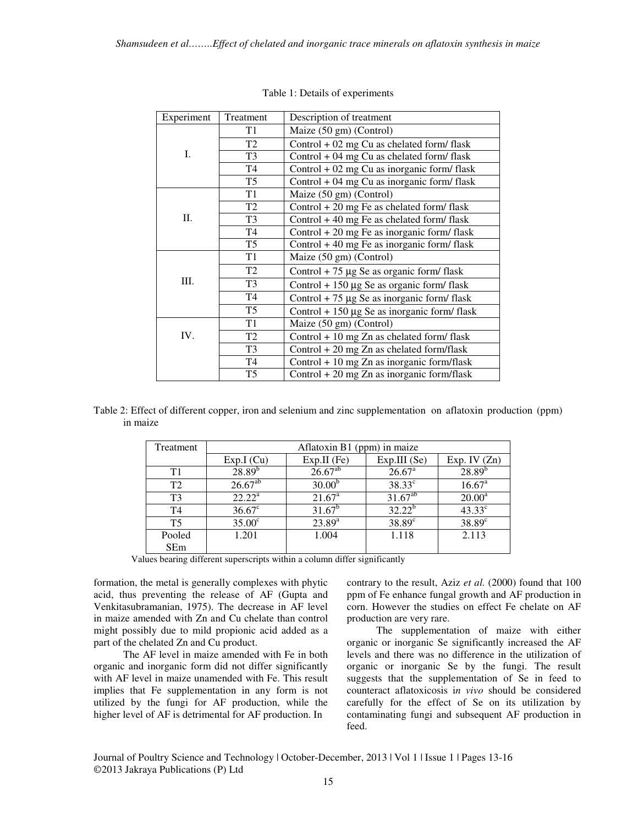| Experiment | Treatment      | Description of treatment                         |  |  |  |  |  |
|------------|----------------|--------------------------------------------------|--|--|--|--|--|
|            | T1             | Maize (50 gm) (Control)                          |  |  |  |  |  |
|            | T <sub>2</sub> | Control $+02$ mg Cu as chelated form/flask       |  |  |  |  |  |
| Ι.         | T <sub>3</sub> | Control $+$ 04 mg Cu as chelated form/flask      |  |  |  |  |  |
|            | T4             | Control $+02$ mg Cu as inorganic form/flask      |  |  |  |  |  |
|            | T <sub>5</sub> | Control $+04$ mg Cu as inorganic form/ flask     |  |  |  |  |  |
|            | T <sub>1</sub> | Maize (50 gm) (Control)                          |  |  |  |  |  |
|            | T2             | Control $+20$ mg Fe as chelated form/flask       |  |  |  |  |  |
| П.         | T <sub>3</sub> | Control $+40$ mg Fe as chelated form/ flask      |  |  |  |  |  |
|            | T <sub>4</sub> | Control $+20$ mg Fe as inorganic form/flask      |  |  |  |  |  |
|            | T <sub>5</sub> | Control $+40$ mg Fe as inorganic form/ flask     |  |  |  |  |  |
|            | T <sub>1</sub> | Maize (50 gm) (Control)                          |  |  |  |  |  |
|            | T <sub>2</sub> | Control + 75 $\mu$ g Se as organic form/flask    |  |  |  |  |  |
| Ш.         | T <sub>3</sub> | Control + 150 $\mu$ g Se as organic form/flask   |  |  |  |  |  |
|            | T <sub>4</sub> | Control + 75 $\mu$ g Se as inorganic form/flask  |  |  |  |  |  |
|            | T <sub>5</sub> | Control + 150 $\mu$ g Se as inorganic form/flask |  |  |  |  |  |
|            | T1             | Maize (50 gm) (Control)                          |  |  |  |  |  |
| IV.        | T <sub>2</sub> | Control + 10 mg Zn as chelated form/ flask       |  |  |  |  |  |
|            | T <sub>3</sub> | Control $+20$ mg Zn as chelated form/flask       |  |  |  |  |  |
|            | T <sub>4</sub> | Control $+10$ mg Zn as inorganic form/flask      |  |  |  |  |  |
|            | T <sub>5</sub> | Control $+20$ mg Zn as inorganic form/flask      |  |  |  |  |  |

Table 1: Details of experiments

|          | Table 2: Effect of different copper, iron and selenium and zinc supplementation on aflatoxin production (ppm) |  |  |  |
|----------|---------------------------------------------------------------------------------------------------------------|--|--|--|
| in maize |                                                                                                               |  |  |  |

| Treatment      | Aflatoxin B1 (ppm) in maize |                    |                 |                    |  |  |  |  |
|----------------|-----------------------------|--------------------|-----------------|--------------------|--|--|--|--|
|                | Exp.I(Cu)                   | $Exp.II$ (Fe)      | Exp.III(Se)     | Exp. IV $(Zn)$     |  |  |  |  |
| T1             | $28.89^{b}$                 | $26.67^{ab}$       | $26.67^{\rm a}$ | $28.89^{b}$        |  |  |  |  |
| T <sub>2</sub> | $26.67^{ab}$                | 30.00 <sup>b</sup> | $38.33^{\circ}$ | 16.67 <sup>a</sup> |  |  |  |  |
| T <sub>3</sub> | $22.22^a$                   | $21.67^{\circ}$    | $31.67^{ab}$    | $20.00^a$          |  |  |  |  |
| T <sub>4</sub> | $36.67^{\circ}$             | $31.67^b$          | $32.22^b$       | $43.33^\circ$      |  |  |  |  |
| <b>T5</b>      | $35.00^{\circ}$             | $23.89^{a}$        | $38.89^\circ$   | $38.89^\circ$      |  |  |  |  |
| Pooled         | 1.201                       | 1.004              | 1.118           | 2.113              |  |  |  |  |
| <b>SEm</b>     |                             |                    |                 |                    |  |  |  |  |

Values bearing different superscripts within a column differ significantly

formation, the metal is generally complexes with phytic acid, thus preventing the release of AF (Gupta and Venkitasubramanian, 1975). The decrease in AF level in maize amended with Zn and Cu chelate than control might possibly due to mild propionic acid added as a part of the chelated Zn and Cu product.

The AF level in maize amended with Fe in both organic and inorganic form did not differ significantly with AF level in maize unamended with Fe. This result implies that Fe supplementation in any form is not utilized by the fungi for AF production, while the higher level of AF is detrimental for AF production. In

contrary to the result, Aziz *et al.* (2000) found that 100 ppm of Fe enhance fungal growth and AF production in corn. However the studies on effect Fe chelate on AF production are very rare.

The supplementation of maize with either organic or inorganic Se significantly increased the AF levels and there was no difference in the utilization of organic or inorganic Se by the fungi. The result suggests that the supplementation of Se in feed to counteract aflatoxicosis i*n vivo* should be considered carefully for the effect of Se on its utilization by contaminating fungi and subsequent AF production in feed.

Journal of Poultry Science and Technology | October-December, 2013 | Vol 1 | Issue 1 | Pages 13-16 ©2013 Jakraya Publications (P) Ltd